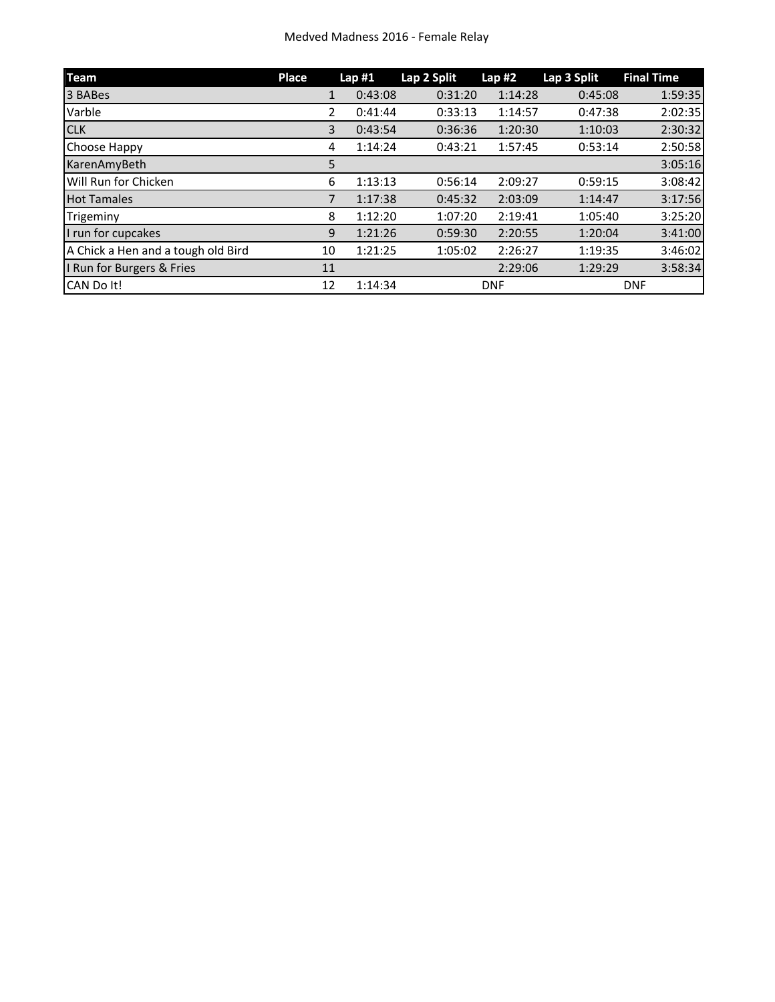| <b>Team</b>                        | Place |    | Lap#1   | Lap 2 Split | Lap#2      | Lap 3 Split | <b>Final Time</b> |
|------------------------------------|-------|----|---------|-------------|------------|-------------|-------------------|
| 3 BABes                            |       | 1  | 0:43:08 | 0:31:20     | 1:14:28    | 0:45:08     | 1:59:35           |
| Varble                             |       | 2  | 0:41:44 | 0:33:13     | 1:14:57    | 0:47:38     | 2:02:35           |
| <b>CLK</b>                         |       | 3  | 0:43:54 | 0:36:36     | 1:20:30    | 1:10:03     | 2:30:32           |
| Choose Happy                       |       | 4  | 1:14:24 | 0:43:21     | 1:57:45    | 0:53:14     | 2:50:58           |
| KarenAmyBeth                       |       | 5  |         |             |            |             | 3:05:16           |
| Will Run for Chicken               |       | 6  | 1:13:13 | 0:56:14     | 2:09:27    | 0:59:15     | 3:08:42           |
| <b>Hot Tamales</b>                 |       | 7  | 1:17:38 | 0:45:32     | 2:03:09    | 1:14:47     | 3:17:56           |
| Trigeminy                          |       | 8  | 1:12:20 | 1:07:20     | 2:19:41    | 1:05:40     | 3:25:20           |
| I run for cupcakes                 |       | 9  | 1:21:26 | 0:59:30     | 2:20:55    | 1:20:04     | 3:41:00           |
| A Chick a Hen and a tough old Bird |       | 10 | 1:21:25 | 1:05:02     | 2:26:27    | 1:19:35     | 3:46:02           |
| I Run for Burgers & Fries          | 11    |    |         |             | 2:29:06    | 1:29:29     | 3:58:34           |
| CAN Do It!                         | 12    |    | 1:14:34 |             | <b>DNF</b> |             | <b>DNF</b>        |